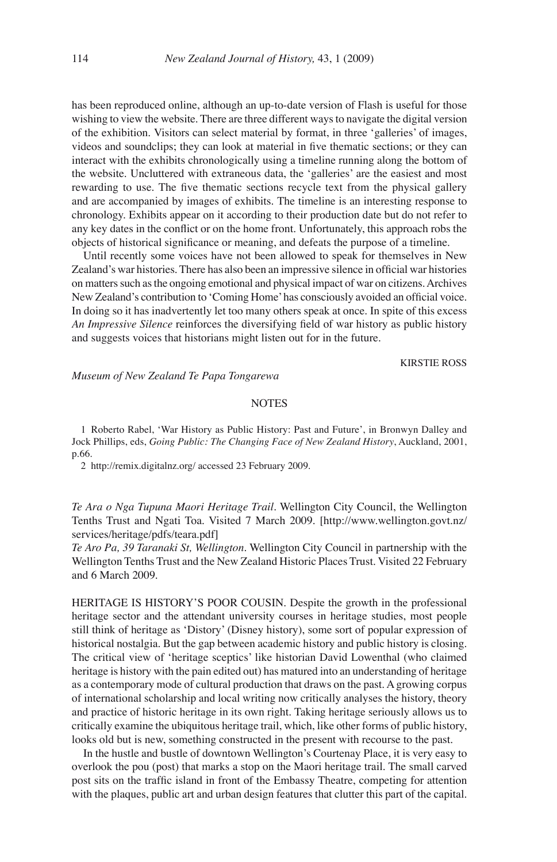has been reproduced online, although an up-to-date version of Flash is useful for those wishing to view the website. There are three different ways to navigate the digital version of the exhibition. Visitors can select material by format, in three 'galleries' of images, videos and soundclips; they can look at material in five thematic sections; or they can interact with the exhibits chronologically using a timeline running along the bottom of the website. Uncluttered with extraneous data, the 'galleries' are the easiest and most rewarding to use. The five thematic sections recycle text from the physical gallery and are accompanied by images of exhibits. The timeline is an interesting response to chronology. Exhibits appear on it according to their production date but do not refer to any key dates in the conflict or on the home front. Unfortunately, this approach robs the objects of historical significance or meaning, and defeats the purpose of a timeline.

Until recently some voices have not been allowed to speak for themselves in New Zealand's war histories. There has also been an impressive silence in official war histories on matters such as the ongoing emotional and physical impact of war on citizens. Archives New Zealand's contribution to 'Coming Home' has consciously avoided an official voice. In doing so it has inadvertently let too many others speak at once. In spite of this excess *An Impressive Silence* reinforces the diversifying field of war history as public history and suggests voices that historians might listen out for in the future.

KIRSTIE ROSS

*Museum of New Zealand Te Papa Tongarewa*

## **NOTES**

1 Roberto Rabel, 'War History as Public History: Past and Future', in Bronwyn Dalley and Jock Phillips, eds, *Going Public: The Changing Face of New Zealand History*, Auckland, 2001, p.66.

2 http://remix.digitalnz.org/ accessed 23 February 2009.

*Te Ara o Nga Tupuna Maori Heritage Trail*. Wellington City Council, the Wellington Tenths Trust and Ngati Toa. Visited 7 March 2009. [http://www.wellington.govt.nz/ services/heritage/pdfs/teara.pdf]

*Te Aro Pa, 39 Taranaki St, Wellington*. Wellington City Council in partnership with the Wellington Tenths Trust and the New Zealand Historic Places Trust. Visited 22 February and 6 March 2009.

HERITAGE IS HISTORY'S POOR COUSIN. Despite the growth in the professional heritage sector and the attendant university courses in heritage studies, most people still think of heritage as 'Distory' (Disney history), some sort of popular expression of historical nostalgia. But the gap between academic history and public history is closing. The critical view of 'heritage sceptics' like historian David Lowenthal (who claimed heritage is history with the pain edited out) has matured into an understanding of heritage as a contemporary mode of cultural production that draws on the past. A growing corpus of international scholarship and local writing now critically analyses the history, theory and practice of historic heritage in its own right. Taking heritage seriously allows us to critically examine the ubiquitous heritage trail, which, like other forms of public history, looks old but is new, something constructed in the present with recourse to the past.

In the hustle and bustle of downtown Wellington's Courtenay Place, it is very easy to overlook the pou (post) that marks a stop on the Maori heritage trail. The small carved post sits on the traffic island in front of the Embassy Theatre, competing for attention with the plaques, public art and urban design features that clutter this part of the capital.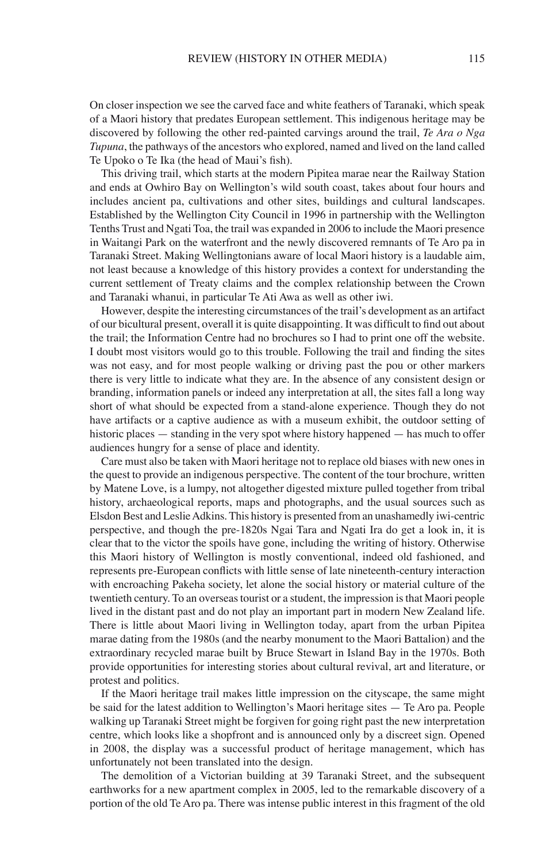On closer inspection we see the carved face and white feathers of Taranaki, which speak of a Maori history that predates European settlement. This indigenous heritage may be discovered by following the other red-painted carvings around the trail, *Te Ara o Nga Tupuna*, the pathways of the ancestors who explored, named and lived on the land called Te Upoko o Te Ika (the head of Maui's fish).

This driving trail, which starts at the modern Pipitea marae near the Railway Station and ends at Owhiro Bay on Wellington's wild south coast, takes about four hours and includes ancient pa, cultivations and other sites, buildings and cultural landscapes. Established by the Wellington City Council in 1996 in partnership with the Wellington Tenths Trust and Ngati Toa, the trail was expanded in 2006 to include the Maori presence in Waitangi Park on the waterfront and the newly discovered remnants of Te Aro pa in Taranaki Street. Making Wellingtonians aware of local Maori history is a laudable aim, not least because a knowledge of this history provides a context for understanding the current settlement of Treaty claims and the complex relationship between the Crown and Taranaki whanui, in particular Te Ati Awa as well as other iwi.

However, despite the interesting circumstances of the trail's development as an artifact of our bicultural present, overall it is quite disappointing. It was difficult to find out about the trail; the Information Centre had no brochures so I had to print one off the website. I doubt most visitors would go to this trouble. Following the trail and finding the sites was not easy, and for most people walking or driving past the pou or other markers there is very little to indicate what they are. In the absence of any consistent design or branding, information panels or indeed any interpretation at all, the sites fall a long way short of what should be expected from a stand-alone experience. Though they do not have artifacts or a captive audience as with a museum exhibit, the outdoor setting of historic places — standing in the very spot where history happened — has much to offer audiences hungry for a sense of place and identity.

Care must also be taken with Maori heritage not to replace old biases with new ones in the quest to provide an indigenous perspective. The content of the tour brochure, written by Matene Love, is a lumpy, not altogether digested mixture pulled together from tribal history, archaeological reports, maps and photographs, and the usual sources such as Elsdon Best and Leslie Adkins. This history is presented from an unashamedly iwi-centric perspective, and though the pre-1820s Ngai Tara and Ngati Ira do get a look in, it is clear that to the victor the spoils have gone, including the writing of history. Otherwise this Maori history of Wellington is mostly conventional, indeed old fashioned, and represents pre-European conflicts with little sense of late nineteenth-century interaction with encroaching Pakeha society, let alone the social history or material culture of the twentieth century. To an overseas tourist or a student, the impression is that Maori people lived in the distant past and do not play an important part in modern New Zealand life. There is little about Maori living in Wellington today, apart from the urban Pipitea marae dating from the 1980s (and the nearby monument to the Maori Battalion) and the extraordinary recycled marae built by Bruce Stewart in Island Bay in the 1970s. Both provide opportunities for interesting stories about cultural revival, art and literature, or protest and politics.

If the Maori heritage trail makes little impression on the cityscape, the same might be said for the latest addition to Wellington's Maori heritage sites — Te Aro pa. People walking up Taranaki Street might be forgiven for going right past the new interpretation centre, which looks like a shopfront and is announced only by a discreet sign. Opened in 2008, the display was a successful product of heritage management, which has unfortunately not been translated into the design.

The demolition of a Victorian building at 39 Taranaki Street, and the subsequent earthworks for a new apartment complex in 2005, led to the remarkable discovery of a portion of the old Te Aro pa. There was intense public interest in this fragment of the old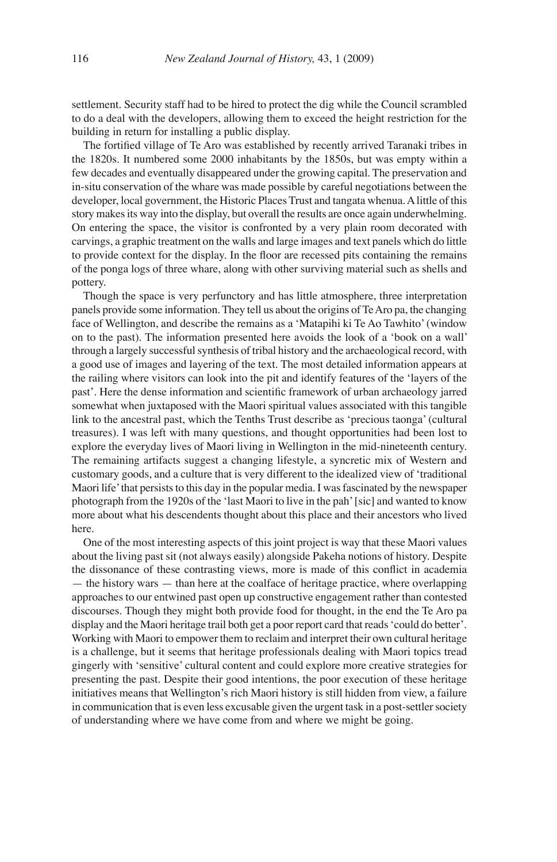settlement. Security staff had to be hired to protect the dig while the Council scrambled to do a deal with the developers, allowing them to exceed the height restriction for the building in return for installing a public display.

The fortified village of Te Aro was established by recently arrived Taranaki tribes in the 1820s. It numbered some 2000 inhabitants by the 1850s, but was empty within a few decades and eventually disappeared under the growing capital. The preservation and in-situ conservation of the whare was made possible by careful negotiations between the developer, local government, the Historic Places Trust and tangata whenua. A little of this story makes its way into the display, but overall the results are once again underwhelming. On entering the space, the visitor is confronted by a very plain room decorated with carvings, a graphic treatment on the walls and large images and text panels which do little to provide context for the display. In the floor are recessed pits containing the remains of the ponga logs of three whare, along with other surviving material such as shells and pottery.

Though the space is very perfunctory and has little atmosphere, three interpretation panels provide some information. They tell us about the origins of Te Aro pa, the changing face of Wellington, and describe the remains as a 'Matapihi ki Te Ao Tawhito' (window on to the past). The information presented here avoids the look of a 'book on a wall' through a largely successful synthesis of tribal history and the archaeological record, with a good use of images and layering of the text. The most detailed information appears at the railing where visitors can look into the pit and identify features of the 'layers of the past'. Here the dense information and scientific framework of urban archaeology jarred somewhat when juxtaposed with the Maori spiritual values associated with this tangible link to the ancestral past, which the Tenths Trust describe as 'precious taonga' (cultural treasures). I was left with many questions, and thought opportunities had been lost to explore the everyday lives of Maori living in Wellington in the mid-nineteenth century. The remaining artifacts suggest a changing lifestyle, a syncretic mix of Western and customary goods, and a culture that is very different to the idealized view of 'traditional Maori life' that persists to this day in the popular media. I was fascinated by the newspaper photograph from the 1920s of the 'last Maori to live in the pah' [sic] and wanted to know more about what his descendents thought about this place and their ancestors who lived here.

One of the most interesting aspects of this joint project is way that these Maori values about the living past sit (not always easily) alongside Pakeha notions of history. Despite the dissonance of these contrasting views, more is made of this conflict in academia — the history wars — than here at the coalface of heritage practice, where overlapping approaches to our entwined past open up constructive engagement rather than contested discourses. Though they might both provide food for thought, in the end the Te Aro pa display and the Maori heritage trail both get a poor report card that reads 'could do better'. Working with Maori to empower them to reclaim and interpret their own cultural heritage is a challenge, but it seems that heritage professionals dealing with Maori topics tread gingerly with 'sensitive' cultural content and could explore more creative strategies for presenting the past. Despite their good intentions, the poor execution of these heritage initiatives means that Wellington's rich Maori history is still hidden from view, a failure in communication that is even less excusable given the urgent task in a post-settler society of understanding where we have come from and where we might be going.